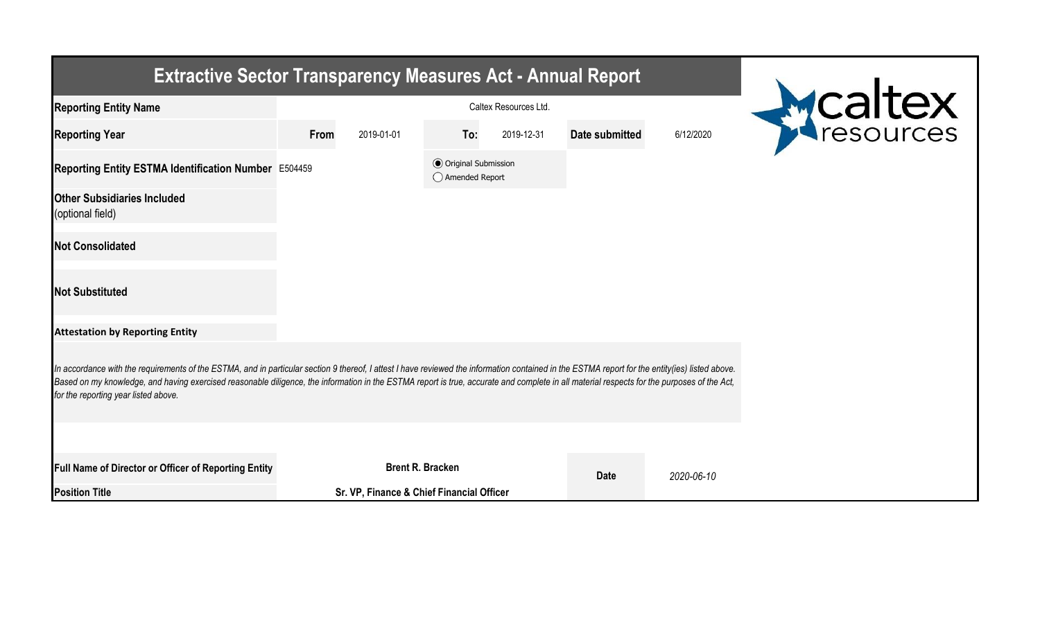| <b>Extractive Sector Transparency Measures Act - Annual Report</b>                                                                                                                                                                                                                                                                                                                                                                    |      |                                           |                                                  |            |                       |            |  |  |  |  |
|---------------------------------------------------------------------------------------------------------------------------------------------------------------------------------------------------------------------------------------------------------------------------------------------------------------------------------------------------------------------------------------------------------------------------------------|------|-------------------------------------------|--------------------------------------------------|------------|-----------------------|------------|--|--|--|--|
| <b>Reporting Entity Name</b>                                                                                                                                                                                                                                                                                                                                                                                                          |      |                                           | Mealtex                                          |            |                       |            |  |  |  |  |
| <b>Reporting Year</b>                                                                                                                                                                                                                                                                                                                                                                                                                 | From | 2019-01-01                                | To:                                              | 2019-12-31 | <b>Date submitted</b> | 6/12/2020  |  |  |  |  |
| Reporting Entity ESTMA Identification Number E504459                                                                                                                                                                                                                                                                                                                                                                                  |      |                                           | <b>⊙</b> Original Submission<br>◯ Amended Report |            |                       |            |  |  |  |  |
| <b>Other Subsidiaries Included</b><br>(optional field)                                                                                                                                                                                                                                                                                                                                                                                |      |                                           |                                                  |            |                       |            |  |  |  |  |
| <b>Not Consolidated</b>                                                                                                                                                                                                                                                                                                                                                                                                               |      |                                           |                                                  |            |                       |            |  |  |  |  |
| <b>Not Substituted</b>                                                                                                                                                                                                                                                                                                                                                                                                                |      |                                           |                                                  |            |                       |            |  |  |  |  |
| <b>Attestation by Reporting Entity</b>                                                                                                                                                                                                                                                                                                                                                                                                |      |                                           |                                                  |            |                       |            |  |  |  |  |
| In accordance with the requirements of the ESTMA, and in particular section 9 thereof, I attest I have reviewed the information contained in the ESTMA report for the entity(ies) listed above.<br>Based on my knowledge, and having exercised reasonable diligence, the information in the ESTMA report is true, accurate and complete in all material respects for the purposes of the Act,<br>for the reporting year listed above. |      |                                           |                                                  |            |                       |            |  |  |  |  |
|                                                                                                                                                                                                                                                                                                                                                                                                                                       |      |                                           |                                                  |            |                       |            |  |  |  |  |
| Full Name of Director or Officer of Reporting Entity                                                                                                                                                                                                                                                                                                                                                                                  |      |                                           | <b>Brent R. Bracken</b>                          |            | <b>Date</b>           | 2020-06-10 |  |  |  |  |
| <b>Position Title</b>                                                                                                                                                                                                                                                                                                                                                                                                                 |      | Sr. VP, Finance & Chief Financial Officer |                                                  |            |                       |            |  |  |  |  |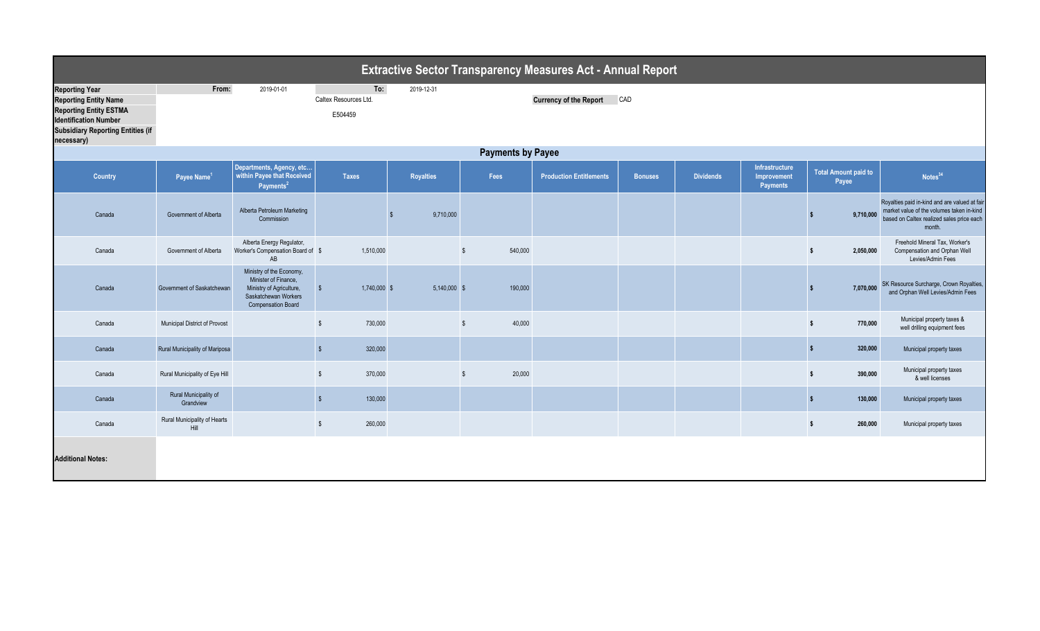| <b>Extractive Sector Transparency Measures Act - Annual Report</b>                                                                                                               |                                      |                                                                                                                                   |                                                       |                  |               |                                      |                |                  |                                           |                                      |                                                                                                                                                   |  |  |  |
|----------------------------------------------------------------------------------------------------------------------------------------------------------------------------------|--------------------------------------|-----------------------------------------------------------------------------------------------------------------------------------|-------------------------------------------------------|------------------|---------------|--------------------------------------|----------------|------------------|-------------------------------------------|--------------------------------------|---------------------------------------------------------------------------------------------------------------------------------------------------|--|--|--|
| <b>Reporting Year</b><br><b>Reporting Entity Name</b><br><b>Reporting Entity ESTMA</b><br><b>Identification Number</b><br><b>Subsidiary Reporting Entities (if</b><br>necessary) | From:<br>2019-01-01                  |                                                                                                                                   | To:<br>2019-12-31<br>Caltex Resources Ltd.<br>E504459 |                  |               | <b>Currency of the Report</b><br>CAD |                |                  |                                           |                                      |                                                                                                                                                   |  |  |  |
|                                                                                                                                                                                  | <b>Payments by Payee</b>             |                                                                                                                                   |                                                       |                  |               |                                      |                |                  |                                           |                                      |                                                                                                                                                   |  |  |  |
| Country                                                                                                                                                                          | Payee Name <sup>1</sup>              | Departments, Agency, etc<br>within Payee that Received<br>Payments <sup>2</sup>                                                   | <b>Taxes</b>                                          | <b>Royalties</b> | Fees          | <b>Production Entitlements</b>       | <b>Bonuses</b> | <b>Dividends</b> | Infrastructure<br>Improvement<br>Payments | <b>Total Amount paid to</b><br>Payee | Notes <sup>34</sup>                                                                                                                               |  |  |  |
| Canada                                                                                                                                                                           | Government of Alberta                | Alberta Petroleum Marketing<br>Commission                                                                                         |                                                       | 9,710,000        |               |                                      |                |                  |                                           | 9,710,000                            | Royalties paid in-kind and are valued at fair<br>market value of the volumes taken in-kind<br>based on Caltex realized sales price each<br>month. |  |  |  |
| Canada                                                                                                                                                                           | Government of Alberta                | Alberta Energy Regulator,<br>Worker's Compensation Board of \$<br>AB                                                              | 1,510,000                                             |                  | 540,000<br>\$ |                                      |                |                  |                                           | 2,050,000<br>-S                      | Freehold Mineral Tax. Worker's<br>Compensation and Orphan Well<br>Levies/Admin Fees                                                               |  |  |  |
| Canada                                                                                                                                                                           | Government of Saskatchewan           | Ministry of the Economy,<br>Minister of Finance,<br>Ministry of Agriculture,<br>Saskatchewan Workers<br><b>Compensation Board</b> | 1,740,000 \$<br>$\sqrt[6]{\frac{1}{2}}$               | $5,140,000$ \$   | 190,000       |                                      |                |                  |                                           | 7,070,000                            | SK Resource Surcharge, Crown Royalties,<br>and Orphan Well Levies/Admin Fees                                                                      |  |  |  |
| Canada                                                                                                                                                                           | Municipal District of Provost        |                                                                                                                                   | $\mathbb{S}$<br>730,000                               |                  | 40,000<br>\$  |                                      |                |                  |                                           | 770,000<br><sub>S</sub>              | Municipal property taxes &<br>well drilling equipment fees                                                                                        |  |  |  |
| Canada                                                                                                                                                                           | Rural Municipality of Mariposa       |                                                                                                                                   | 320,000<br>$\mathbb{S}$                               |                  |               |                                      |                |                  |                                           | 320,000                              | Municipal property taxes                                                                                                                          |  |  |  |
| Canada                                                                                                                                                                           | Rural Municipality of Eye Hill       |                                                                                                                                   | $\mathbb{S}$<br>370,000                               |                  | 20,000<br>\$  |                                      |                |                  |                                           | 390,000<br>$\mathbf{s}$              | Municipal property taxes<br>& well licenses                                                                                                       |  |  |  |
| Canada                                                                                                                                                                           | Rural Municipality of<br>Grandview   |                                                                                                                                   | 130,000<br>$\sqrt{2}$                                 |                  |               |                                      |                |                  |                                           | 130,000<br>-S                        | Municipal property taxes                                                                                                                          |  |  |  |
| Canada                                                                                                                                                                           | Rural Municipality of Hearts<br>Hill |                                                                                                                                   | $\mathbb{S}$<br>260,000                               |                  |               |                                      |                |                  |                                           | 260,000<br>$\mathbf{s}$              | Municipal property taxes                                                                                                                          |  |  |  |
| <b>Additional Notes:</b>                                                                                                                                                         |                                      |                                                                                                                                   |                                                       |                  |               |                                      |                |                  |                                           |                                      |                                                                                                                                                   |  |  |  |